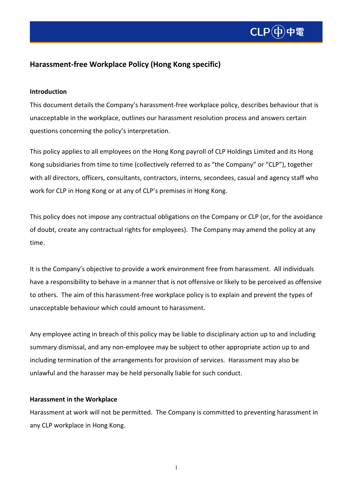

### **Harassment-free Workplace Policy (Hong Kong specific)**

#### **Introduction**

This document details the Company's harassment-free workplace policy, describes behaviour that is unacceptable in the workplace, outlines our harassment resolution process and answers certain questions concerning the policy's interpretation.

This policy applies to all employees on the Hong Kong payroll of CLP Holdings Limited and its Hong Kong subsidiaries from time to time (collectively referred to as "the Company" or "CLP"), together with all directors, officers, consultants, contractors, interns, secondees, casual and agency staff who work for CLP in Hong Kong or at any of CLP's premises in Hong Kong.

This policy does not impose any contractual obligations on the Company or CLP (or, for the avoidance of doubt, create any contractual rights for employees). The Company may amend the policy at any time.

It is the Company's objective to provide a work environment free from harassment. All individuals have a responsibility to behave in a manner that is not offensive or likely to be perceived as offensive to others. The aim of this harassment-free workplace policy is to explain and prevent the types of unacceptable behaviour which could amount to harassment.

Any employee acting in breach of this policy may be liable to disciplinary action up to and including summary dismissal, and any non-employee may be subject to other appropriate action up to and including termination of the arrangements for provision of services. Harassment may also be unlawful and the harasser may be held personally liable for such conduct.

#### **Harassment in the Workplace**

Harassment at work will not be permitted. The Company is committed to preventing harassment in any CLP workplace in Hong Kong.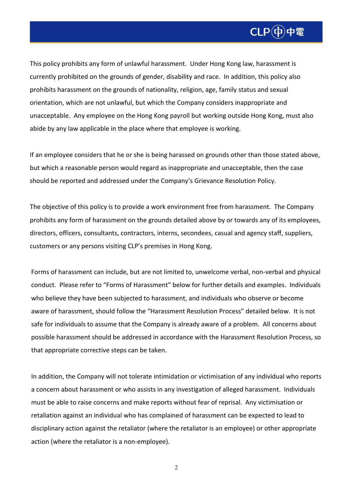

This policy prohibits any form of unlawful harassment. Under Hong Kong law, harassment is currently prohibited on the grounds of gender, disability and race. In addition, this policy also prohibits harassment on the grounds of nationality, religion, age, family status and sexual orientation, which are not unlawful, but which the Company considers inappropriate and unacceptable. Any employee on the Hong Kong payroll but working outside Hong Kong, must also abide by any law applicable in the place where that employee is working.

If an employee considers that he or she is being harassed on grounds other than those stated above, but which a reasonable person would regard as inappropriate and unacceptable, then the case should be reported and addressed under the Company's Grievance Resolution Policy.

The objective of this policy is to provide a work environment free from harassment. The Company prohibits any form of harassment on the grounds detailed above by or towards any of its employees, directors, officers, consultants, contractors, interns, secondees, casual and agency staff, suppliers, customers or any persons visiting CLP's premises in Hong Kong.

Forms of harassment can include, but are not limited to, unwelcome verbal, non-verbal and physical conduct. Please refer to "Forms of Harassment" below for further details and examples. Individuals who believe they have been subjected to harassment, and individuals who observe or become aware of harassment, should follow the "Harassment Resolution Process" detailed below. It is not safe for individuals to assume that the Company is already aware of a problem. All concerns about possible harassment should be addressed in accordance with the Harassment Resolution Process, so that appropriate corrective steps can be taken.

In addition, the Company will not tolerate intimidation or victimisation of any individual who reports a concern about harassment or who assists in any investigation of alleged harassment. Individuals must be able to raise concerns and make reports without fear of reprisal. Any victimisation or retaliation against an individual who has complained of harassment can be expected to lead to disciplinary action against the retaliator (where the retaliator is an employee) or other appropriate action (where the retaliator is a non-employee).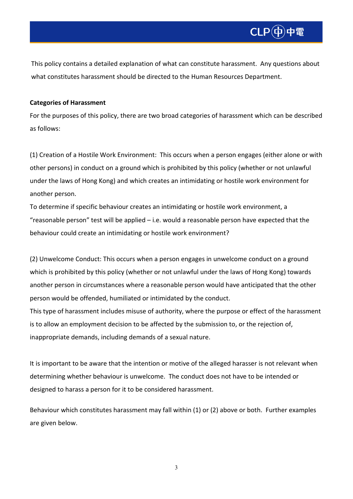This policy contains a detailed explanation of what can constitute harassment. Any questions about what constitutes harassment should be directed to the Human Resources Department.

#### **Categories of Harassment**

For the purposes of this policy, there are two broad categories of harassment which can be described as follows:

(1) Creation of a Hostile Work Environment: This occurs when a person engages (either alone or with other persons) in conduct on a ground which is prohibited by this policy (whether or not unlawful under the laws of Hong Kong) and which creates an intimidating or hostile work environment for another person.

To determine if specific behaviour creates an intimidating or hostile work environment, a "reasonable person" test will be applied  $-$  i.e. would a reasonable person have expected that the behaviour could create an intimidating or hostile work environment?

(2) Unwelcome Conduct: This occurs when a person engages in unwelcome conduct on a ground which is prohibited by this policy (whether or not unlawful under the laws of Hong Kong) towards another person in circumstances where a reasonable person would have anticipated that the other person would be offended, humiliated or intimidated by the conduct.

This type of harassment includes misuse of authority, where the purpose or effect of the harassment is to allow an employment decision to be affected by the submission to, or the rejection of, inappropriate demands, including demands of a sexual nature.

It is important to be aware that the intention or motive of the alleged harasser is not relevant when determining whether behaviour is unwelcome. The conduct does not have to be intended or designed to harass a person for it to be considered harassment.

Behaviour which constitutes harassment may fall within (1) or (2) above or both. Further examples are given below.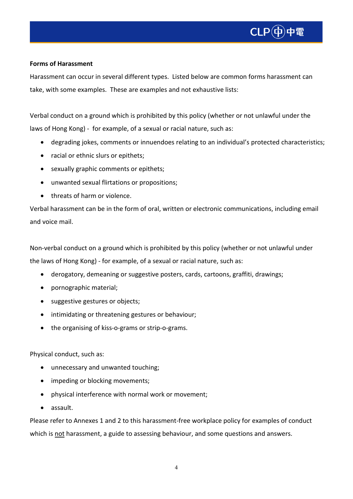

#### **Forms of Harassment**

Harassment can occur in several different types. Listed below are common forms harassment can take, with some examples. These are examples and not exhaustive lists:

Verbal conduct on a ground which is prohibited by this policy (whether or not unlawful under the laws of Hong Kong) - for example, of a sexual or racial nature, such as:

- degrading jokes, comments or innuendoes relating to an individual's protected characteristics;
- racial or ethnic slurs or epithets;
- sexually graphic comments or epithets;
- unwanted sexual flirtations or propositions;
- threats of harm or violence.

Verbal harassment can be in the form of oral, written or electronic communications, including email and voice mail.

Non-verbal conduct on a ground which is prohibited by this policy (whether or not unlawful under the laws of Hong Kong) - for example, of a sexual or racial nature, such as:

- derogatory, demeaning or suggestive posters, cards, cartoons, graffiti, drawings;
- pornographic material;
- suggestive gestures or objects;
- intimidating or threatening gestures or behaviour;
- the organising of kiss-o-grams or strip-o-grams.

#### Physical conduct, such as:

- unnecessary and unwanted touching;
- impeding or blocking movements;
- physical interference with normal work or movement;
- assault.

Please refer to Annexes 1 and 2 to this harassment-free workplace policy for examples of conduct which is not harassment, a guide to assessing behaviour, and some questions and answers.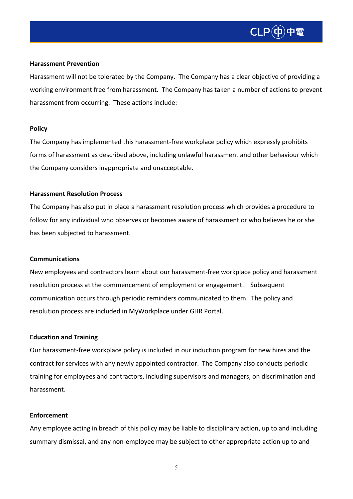

#### **Harassment Prevention**

Harassment will not be tolerated by the Company. The Company has a clear objective of providing a working environment free from harassment. The Company has taken a number of actions to prevent harassment from occurring. These actions include:

#### **Policy**

The Company has implemented this harassment-free workplace policy which expressly prohibits forms of harassment as described above, including unlawful harassment and other behaviour which the Company considers inappropriate and unacceptable.

#### **Harassment Resolution Process**

The Company has also put in place a harassment resolution process which provides a procedure to follow for any individual who observes or becomes aware of harassment or who believes he or she has been subjected to harassment.

#### **Communications**

New employees and contractors learn about our harassment-free workplace policy and harassment resolution process at the commencement of employment or engagement. Subsequent communication occurs through periodic reminders communicated to them. The policy and resolution process are included in MyWorkplace under GHR Portal.

#### **Education and Training**

Our harassment-free workplace policy is included in our induction program for new hires and the contract for services with any newly appointed contractor. The Company also conducts periodic training for employees and contractors, including supervisors and managers, on discrimination and harassment.

#### **Enforcement**

Any employee acting in breach of this policy may be liable to disciplinary action, up to and including summary dismissal, and any non-employee may be subject to other appropriate action up to and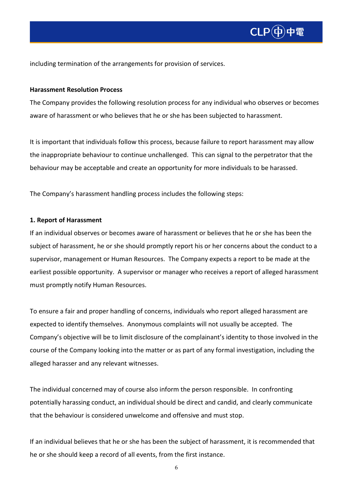

including termination of the arrangements for provision of services.

#### **Harassment Resolution Process**

The Company provides the following resolution process for any individual who observes or becomes aware of harassment or who believes that he or she has been subjected to harassment.

It is important that individuals follow this process, because failure to report harassment may allow the inappropriate behaviour to continue unchallenged. This can signal to the perpetrator that the behaviour may be acceptable and create an opportunity for more individuals to be harassed.

The Company's harassment handling process includes the following steps:

#### **1. Report of Harassment**

If an individual observes or becomes aware of harassment or believes that he or she has been the subject of harassment, he or she should promptly report his or her concerns about the conduct to a supervisor, management or Human Resources. The Company expects a report to be made at the earliest possible opportunity. A supervisor or manager who receives a report of alleged harassment must promptly notify Human Resources.

To ensure a fair and proper handling of concerns, individuals who report alleged harassment are expected to identify themselves. Anonymous complaints will not usually be accepted. The Company's objective will be to limit disclosure of the complainant's identity to those involved in the course of the Company looking into the matter or as part of any formal investigation, including the alleged harasser and any relevant witnesses.

The individual concerned may of course also inform the person responsible. In confronting potentially harassing conduct, an individual should be direct and candid, and clearly communicate that the behaviour is considered unwelcome and offensive and must stop.

If an individual believes that he or she has been the subject of harassment, it is recommended that he or she should keep a record of all events, from the first instance.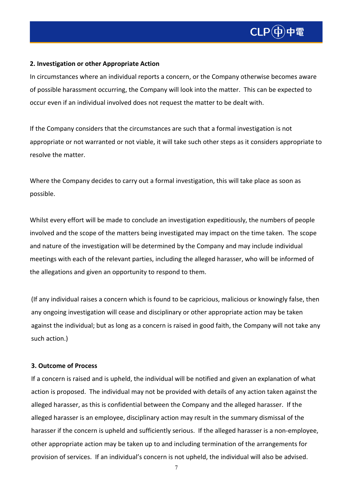

#### **2. Investigation or other Appropriate Action**

In circumstances where an individual reports a concern, or the Company otherwise becomes aware of possible harassment occurring, the Company will look into the matter. This can be expected to occur even if an individual involved does not request the matter to be dealt with.

If the Company considers that the circumstances are such that a formal investigation is not appropriate or not warranted or not viable, it will take such other steps as it considers appropriate to resolve the matter.

Where the Company decides to carry out a formal investigation, this will take place as soon as possible.

Whilst every effort will be made to conclude an investigation expeditiously, the numbers of people involved and the scope of the matters being investigated may impact on the time taken. The scope and nature of the investigation will be determined by the Company and may include individual meetings with each of the relevant parties, including the alleged harasser, who will be informed of the allegations and given an opportunity to respond to them.

(If any individual raises a concern which is found to be capricious, malicious or knowingly false, then any ongoing investigation will cease and disciplinary or other appropriate action may be taken against the individual; but as long as a concern is raised in good faith, the Company will not take any such action.)

#### **3. Outcome of Process**

If a concern is raised and is upheld, the individual will be notified and given an explanation of what action is proposed. The individual may not be provided with details of any action taken against the alleged harasser, as this is confidential between the Company and the alleged harasser. If the alleged harasser is an employee, disciplinary action may result in the summary dismissal of the harasser if the concern is upheld and sufficiently serious. If the alleged harasser is a non-employee, other appropriate action may be taken up to and including termination of the arrangements for provision of services. If an individual's concern is not upheld, the individual will also be advised.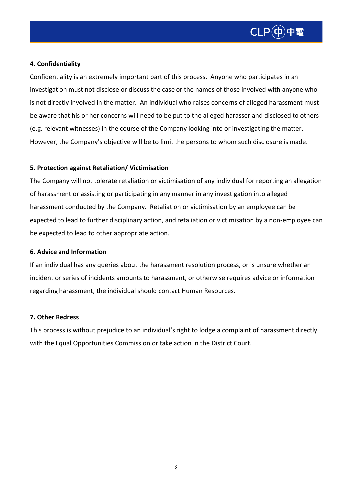

#### **4. Confidentiality**

Confidentiality is an extremely important part of this process. Anyone who participates in an investigation must not disclose or discuss the case or the names of those involved with anyone who is not directly involved in the matter. An individual who raises concerns of alleged harassment must be aware that his or her concerns will need to be put to the alleged harasser and disclosed to others (e.g. relevant witnesses) in the course of the Company looking into or investigating the matter. However, the Company's objective will be to limit the persons to whom such disclosure is made.

#### **5. Protection against Retaliation/ Victimisation**

The Company will not tolerate retaliation or victimisation of any individual for reporting an allegation of harassment or assisting or participating in any manner in any investigation into alleged harassment conducted by the Company. Retaliation or victimisation by an employee can be expected to lead to further disciplinary action, and retaliation or victimisation by a non-employee can be expected to lead to other appropriate action.

#### **6. Advice and Information**

If an individual has any queries about the harassment resolution process, or is unsure whether an incident or series of incidents amounts to harassment, or otherwise requires advice or information regarding harassment, the individual should contact Human Resources.

#### **7. Other Redress**

This process is without prejudice to an individual's right to lodge a complaint of harassment directly with the Equal Opportunities Commission or take action in the District Court.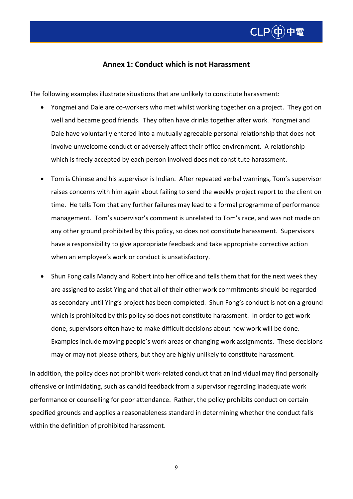# $Cl P(b)$ 中雷

### **Annex 1: Conduct which is not Harassment**

The following examples illustrate situations that are unlikely to constitute harassment:

- Yongmei and Dale are co-workers who met whilst working together on a project. They got on well and became good friends. They often have drinks together after work. Yongmei and Dale have voluntarily entered into a mutually agreeable personal relationship that does not involve unwelcome conduct or adversely affect their office environment. A relationship which is freely accepted by each person involved does not constitute harassment.
- Tom is Chinese and his supervisor is Indian. After repeated verbal warnings, Tom's supervisor raises concerns with him again about failing to send the weekly project report to the client on time. He tells Tom that any further failures may lead to a formal programme of performance management. Tom's supervisor's comment is unrelated to Tom's race, and was not made on any other ground prohibited by this policy, so does not constitute harassment. Supervisors have a responsibility to give appropriate feedback and take appropriate corrective action when an employee's work or conduct is unsatisfactory.
- Shun Fong calls Mandy and Robert into her office and tells them that for the next week they are assigned to assist Ying and that all of their other work commitments should be regarded as secondary until Ying's project has been completed. Shun Fong's conduct is not on a ground which is prohibited by this policy so does not constitute harassment. In order to get work done, supervisors often have to make difficult decisions about how work will be done. Examples include moving people's work areas or changing work assignments. These decisions may or may not please others, but they are highly unlikely to constitute harassment.

In addition, the policy does not prohibit work-related conduct that an individual may find personally offensive or intimidating, such as candid feedback from a supervisor regarding inadequate work performance or counselling for poor attendance. Rather, the policy prohibits conduct on certain specified grounds and applies a reasonableness standard in determining whether the conduct falls within the definition of prohibited harassment.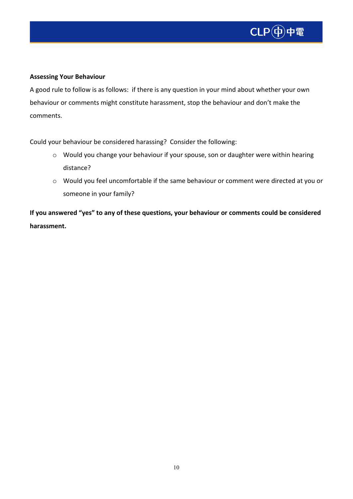

#### **Assessing Your Behaviour**

A good rule to follow is as follows: if there is any question in your mind about whether your own behaviour or comments might constitute harassment, stop the behaviour and don't make the comments.

Could your behaviour be considered harassing? Consider the following:

- o Would you change your behaviour if your spouse, son or daughter were within hearing distance?
- o Would you feel uncomfortable if the same behaviour or comment were directed at you or someone in your family?

**If you answered "yes" to any of these questions, your behaviour or comments could be considered harassment.**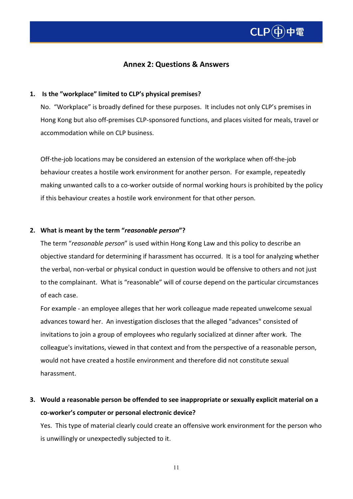

#### **Annex 2: Questions & Answers**

#### **1. Is the "workplace" limited to CLP's physical premises?**

No. "Workplace" is broadly defined for these purposes. It includes not only CLP's premises in Hong Kong but also off-premises CLP-sponsored functions, and places visited for meals, travel or accommodation while on CLP business.

Off-the-job locations may be considered an extension of the workplace when off-the-job behaviour creates a hostile work environment for another person. For example, repeatedly making unwanted calls to a co-worker outside of normal working hours is prohibited by the policy if this behaviour creates a hostile work environment for that other person.

#### **2. What is meant by the term "***reasonable person***"?**

The term "*reasonable person*" is used within Hong Kong Law and this policy to describe an objective standard for determining if harassment has occurred. It is a tool for analyzing whether the verbal, non-verbal or physical conduct in question would be offensive to others and not just to the complainant. What is "reasonable" will of course depend on the particular circumstances of each case.

For example - an employee alleges that her work colleague made repeated unwelcome sexual advances toward her. An investigation discloses that the alleged "advances" consisted of invitations to join a group of employees who regularly socialized at dinner after work. The colleague's invitations, viewed in that context and from the perspective of a reasonable person, would not have created a hostile environment and therefore did not constitute sexual harassment.

**3. Would a reasonable person be offended to see inappropriate or sexually explicit material on a co-worker's computer or personal electronic device?** 

Yes. This type of material clearly could create an offensive work environment for the person who is unwillingly or unexpectedly subjected to it.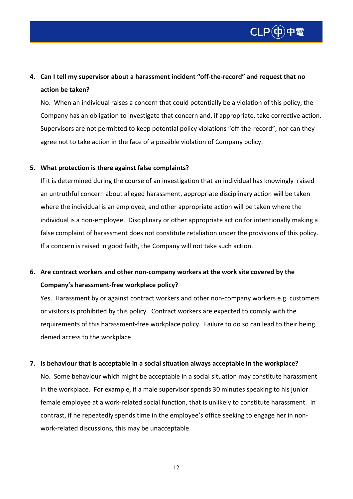

# **4. Can I tell my supervisor about a harassment incident "off-the-record" and request that no action be taken?**

No. When an individual raises a concern that could potentially be a violation of this policy, the Company has an obligation to investigate that concern and, if appropriate, take corrective action. Supervisors are not permitted to keep potential policy violations "off-the-record", nor can they agree not to take action in the face of a possible violation of Company policy.

#### **5. What protection is there against false complaints?**

If it is determined during the course of an investigation that an individual has knowingly raised an untruthful concern about alleged harassment, appropriate disciplinary action will be taken where the individual is an employee, and other appropriate action will be taken where the individual is a non-employee. Disciplinary or other appropriate action for intentionally making a false complaint of harassment does not constitute retaliation under the provisions of this policy. If a concern is raised in good faith, the Company will not take such action.

## **6. Are contract workers and other non-company workers at the work site covered by the Company's harassment-free workplace policy?**

Yes. Harassment by or against contract workers and other non-company workers e.g. customers or visitors is prohibited by this policy. Contract workers are expected to comply with the requirements of this harassment-free workplace policy. Failure to do so can lead to their being denied access to the workplace.

#### **7. Is behaviour that is acceptable in a social situation always acceptable in the workplace?**

No. Some behaviour which might be acceptable in a social situation may constitute harassment in the workplace. For example, if a male supervisor spends 30 minutes speaking to his junior female employee at a work-related social function, that is unlikely to constitute harassment. In contrast, if he repeatedly spends time in the employee's office seeking to engage her in nonwork-related discussions, this may be unacceptable.